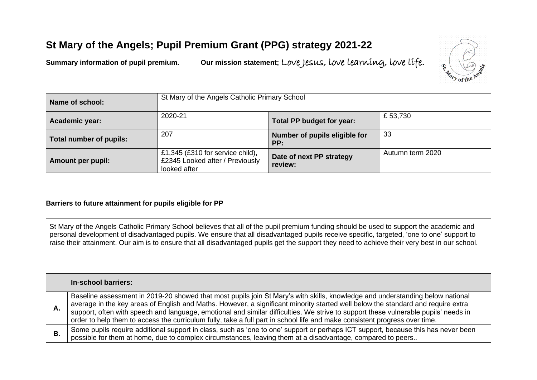# **St Mary of the Angels; Pupil Premium Grant (PPG) strategy 2021-22**

**Summary information of pupil premium. Our mission statement;** Love Jesus, love learning, love life.



| Name of school:                | St Mary of the Angels Catholic Primary School<br>2020-21<br>£53,730<br>Total PP budget for year: |                                      |                  |
|--------------------------------|--------------------------------------------------------------------------------------------------|--------------------------------------|------------------|
| Academic year:                 |                                                                                                  |                                      |                  |
| <b>Total number of pupils:</b> | 207                                                                                              | Number of pupils eligible for<br>PP: | 33               |
| Amount per pupil:              | £1,345 (£310 for service child),<br>£2345 Looked after / Previously<br>looked after              | Date of next PP strategy<br>review:  | Autumn term 2020 |

### **Barriers to future attainment for pupils eligible for PP**

St Mary of the Angels Catholic Primary School believes that all of the pupil premium funding should be used to support the academic and personal development of disadvantaged pupils. We ensure that all disadvantaged pupils receive specific, targeted, 'one to one' support to raise their attainment. Our aim is to ensure that all disadvantaged pupils get the support they need to achieve their very best in our school.

#### **In-school barriers:**

**A.** Baseline assessment in 2019-20 showed that most pupils join St Mary's with skills, knowledge and understanding below national average in the key areas of English and Maths. However, a significant minority started well below the standard and require extra support, often with speech and language, emotional and similar difficulties. We strive to support these vulnerable pupils' needs in order to help them to access the curriculum fully, take a full part in school life and make consistent progress over time. **B.** Some pupils require additional support in class, such as 'one to one' support or perhaps ICT support, because this has never been possible for them at home, due to complex circumstances, leaving them at a disadvantage, compared to peers..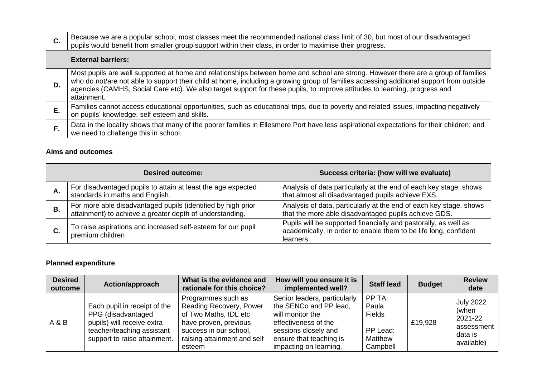| $\mathbf{C}$ . | Because we are a popular school, most classes meet the recommended national class limit of 30, but most of our disadvantaged<br>pupils would benefit from smaller group support within their class, in order to maximise their progress.                                                                                                                                                                                   |
|----------------|----------------------------------------------------------------------------------------------------------------------------------------------------------------------------------------------------------------------------------------------------------------------------------------------------------------------------------------------------------------------------------------------------------------------------|
|                | <b>External barriers:</b>                                                                                                                                                                                                                                                                                                                                                                                                  |
| D.             | Most pupils are well supported at home and relationships between home and school are strong. However there are a group of families<br>who do not/are not able to support their child at home, including a growing group of families accessing additional support from outside<br>agencies (CAMHS, Social Care etc). We also target support for these pupils, to improve attitudes to learning, progress and<br>attainment. |
| Е.             | Families cannot access educational opportunities, such as educational trips, due to poverty and related issues, impacting negatively<br>on pupils' knowledge, self esteem and skills.                                                                                                                                                                                                                                      |
|                | Data in the locality shows that many of the poorer families in Ellesmere Port have less aspirational expectations for their children; and<br>we need to challenge this in school.                                                                                                                                                                                                                                          |

## **Aims and outcomes**

| <b>Desired outcome:</b> |                                                                                                                          | Success criteria: (how will we evaluate)                                                                                                        |  |
|-------------------------|--------------------------------------------------------------------------------------------------------------------------|-------------------------------------------------------------------------------------------------------------------------------------------------|--|
| А.                      | For disadvantaged pupils to attain at least the age expected<br>standards in maths and English.                          | Analysis of data particularly at the end of each key stage, shows<br>that almost all disadvantaged pupils achieve EXS.                          |  |
| В.                      | For more able disadvantaged pupils (identified by high prior<br>attainment) to achieve a greater depth of understanding. | Analysis of data, particularly at the end of each key stage, shows<br>that the more able disadvantaged pupils achieve GDS.                      |  |
|                         | To raise aspirations and increased self-esteem for our pupil<br>premium children                                         | Pupils will be supported financially and pastorally, as well as<br>academically, in order to enable them to be life long, confident<br>learners |  |

# **Planned expenditure**

| <b>Desired</b><br>outcome | Action/approach                                                                                                                                | What is the evidence and<br>rationale for this choice?                                                                                                             | How will you ensure it is<br>implemented well?                                                                                                                                  | <b>Staff lead</b>                                                   | <b>Budget</b> | <b>Review</b><br>date                                                       |
|---------------------------|------------------------------------------------------------------------------------------------------------------------------------------------|--------------------------------------------------------------------------------------------------------------------------------------------------------------------|---------------------------------------------------------------------------------------------------------------------------------------------------------------------------------|---------------------------------------------------------------------|---------------|-----------------------------------------------------------------------------|
| A & B                     | Each pupil in receipt of the<br>PPG (disadvantaged<br>pupils) will receive extra<br>teacher/teaching assistant<br>support to raise attainment. | Programmes such as<br>Reading Recovery, Power<br>of Two Maths, IDL etc<br>have proven, previous<br>success in our school,<br>raising attainment and self<br>esteem | Senior leaders, particularly<br>the SENCo and PP lead,<br>will monitor the<br>effectiveness of the<br>sessions closely and<br>ensure that teaching is<br>impacting on learning. | PP TA:<br>Paula<br><b>Fields</b><br>PP Lead:<br>Matthew<br>Campbell | £19,928       | <b>July 2022</b><br>(when<br>2021-22<br>assessment<br>data is<br>available) |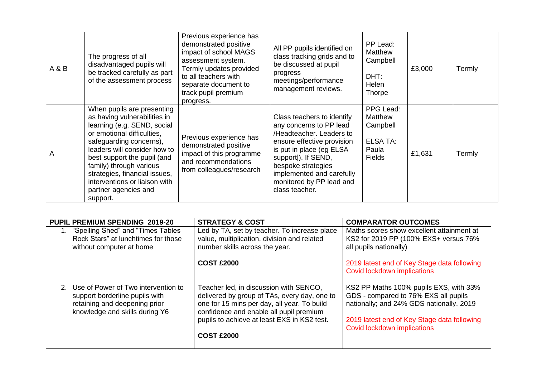| A&B | The progress of all<br>disadvantaged pupils will<br>be tracked carefully as part<br>of the assessment process                                                                                                                                                                                                                                      | Previous experience has<br>demonstrated positive<br>impact of school MAGS<br>assessment system.<br>Termly updates provided<br>to all teachers with<br>separate document to<br>track pupil premium<br>progress. | All PP pupils identified on<br>class tracking grids and to<br>be discussed at pupil<br>progress<br>meetings/performance<br>management reviews.                                                                                                                      | PP Lead:<br>Matthew<br>Campbell<br>DHT:<br>Helen<br>Thorpe                    | £3,000 | Termly |
|-----|----------------------------------------------------------------------------------------------------------------------------------------------------------------------------------------------------------------------------------------------------------------------------------------------------------------------------------------------------|----------------------------------------------------------------------------------------------------------------------------------------------------------------------------------------------------------------|---------------------------------------------------------------------------------------------------------------------------------------------------------------------------------------------------------------------------------------------------------------------|-------------------------------------------------------------------------------|--------|--------|
| A   | When pupils are presenting<br>as having vulnerabilities in<br>learning (e.g. SEND, social<br>or emotional difficulties,<br>safeguarding concerns),<br>leaders will consider how to<br>best support the pupil (and<br>family) through various<br>strategies, financial issues,<br>interventions or liaison with<br>partner agencies and<br>support. | Previous experience has<br>demonstrated positive<br>impact of this programme<br>and recommendations<br>from colleagues/research                                                                                | Class teachers to identify<br>any concerns to PP lead<br>/Headteacher, Leaders to<br>ensure effective provision<br>is put in place (eg ELSA<br>support)). If SEND,<br>bespoke strategies<br>implemented and carefully<br>monitored by PP lead and<br>class teacher. | PPG Lead:<br>Matthew<br>Campbell<br><b>ELSA TA:</b><br>Paula<br><b>Fields</b> | £1,631 | Termly |

| <b>PUPIL PREMIUM SPENDING 2019-20</b>                                                                                                       | <b>STRATEGY &amp; COST</b>                                                                                                                                                                                                                           | <b>COMPARATOR OUTCOMES</b>                                                                                                                                                                               |
|---------------------------------------------------------------------------------------------------------------------------------------------|------------------------------------------------------------------------------------------------------------------------------------------------------------------------------------------------------------------------------------------------------|----------------------------------------------------------------------------------------------------------------------------------------------------------------------------------------------------------|
| 1. "Spelling Shed" and "Times Tables<br>Rock Stars" at lunchtimes for those<br>without computer at home                                     | Led by TA, set by teacher. To increase place<br>value, multiplication, division and related<br>number skills across the year.                                                                                                                        | Maths scores show excellent attainment at<br>KS2 for 2019 PP (100% EXS+ versus 76%<br>all pupils nationally)                                                                                             |
|                                                                                                                                             | <b>COST £2000</b>                                                                                                                                                                                                                                    | 2019 latest end of Key Stage data following<br>Covid lockdown implications                                                                                                                               |
| 2. Use of Power of Two intervention to<br>support borderline pupils with<br>retaining and deepening prior<br>knowledge and skills during Y6 | Teacher led, in discussion with SENCO,<br>delivered by group of TAs, every day, one to<br>one for 15 mins per day, all year. To build<br>confidence and enable all pupil premium<br>pupils to achieve at least EXS in KS2 test.<br><b>COST £2000</b> | KS2 PP Maths 100% pupils EXS, with 33%<br>GDS - compared to 76% EXS all pupils<br>nationally; and 24% GDS nationally, 2019<br>2019 latest end of Key Stage data following<br>Covid lockdown implications |
|                                                                                                                                             |                                                                                                                                                                                                                                                      |                                                                                                                                                                                                          |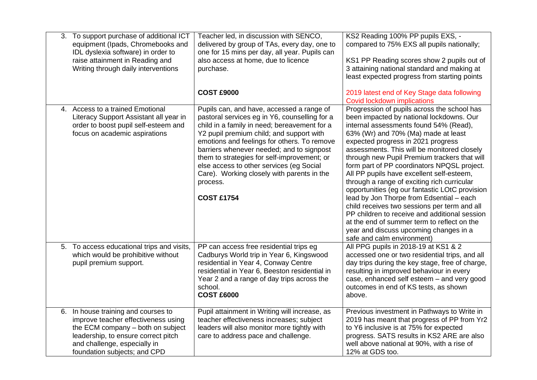| 3. To support purchase of additional ICT<br>equipment (Ipads, Chromebooks and<br>IDL dyslexia software) in order to<br>raise attainment in Reading and<br>Writing through daily interventions                          | Teacher led, in discussion with SENCO,<br>delivered by group of TAs, every day, one to<br>one for 15 mins per day, all year. Pupils can<br>also access at home, due to licence<br>purchase.<br><b>COST £9000</b>                                                                                                                                                                                                                                             | KS2 Reading 100% PP pupils EXS, -<br>compared to 75% EXS all pupils nationally;<br>KS1 PP Reading scores show 2 pupils out of<br>3 attaining national standard and making at<br>least expected progress from starting points<br>2019 latest end of Key Stage data following                                                                                                                                                                                                                                                                                                                                                                                                                                                                                                                                   |
|------------------------------------------------------------------------------------------------------------------------------------------------------------------------------------------------------------------------|--------------------------------------------------------------------------------------------------------------------------------------------------------------------------------------------------------------------------------------------------------------------------------------------------------------------------------------------------------------------------------------------------------------------------------------------------------------|---------------------------------------------------------------------------------------------------------------------------------------------------------------------------------------------------------------------------------------------------------------------------------------------------------------------------------------------------------------------------------------------------------------------------------------------------------------------------------------------------------------------------------------------------------------------------------------------------------------------------------------------------------------------------------------------------------------------------------------------------------------------------------------------------------------|
| 4. Access to a trained Emotional<br>Literacy Support Assistant all year in<br>order to boost pupil self-esteem and<br>focus on academic aspirations                                                                    | Pupils can, and have, accessed a range of<br>pastoral services eg in Y6, counselling for a<br>child in a family in need; bereavement for a<br>Y2 pupil premium child; and support with<br>emotions and feelings for others. To remove<br>barriers whenever needed; and to signpost<br>them to strategies for self-improvement; or<br>else access to other services (eg Social<br>Care). Working closely with parents in the<br>process.<br><b>COST £1754</b> | Covid lockdown implications<br>Progression of pupils across the school has<br>been impacted by national lockdowns. Our<br>internal assessments found 54% (Read),<br>63% (Wr) and 70% (Ma) made at least<br>expected progress in 2021 progress<br>assessments. This will be monitored closely<br>through new Pupil Premium trackers that will<br>form part of PP coordinators NPQSL project.<br>All PP pupils have excellent self-esteem,<br>through a range of exciting rich curricular<br>opportunities (eg our fantastic LOtC provision<br>lead by Jon Thorpe from Edsential - each<br>child receives two sessions per term and all<br>PP children to receive and additional session<br>at the end of summer term to reflect on the<br>year and discuss upcoming changes in a<br>safe and calm environment) |
| 5. To access educational trips and visits,<br>which would be prohibitive without<br>pupil premium support.                                                                                                             | PP can access free residential trips eg<br>Cadburys World trip in Year 6, Kingswood<br>residential in Year 4, Conway Centre<br>residential in Year 6, Beeston residential in<br>Year 2 and a range of day trips across the<br>school.<br><b>COST £6000</b>                                                                                                                                                                                                   | All PPG pupils in 2018-19 at KS1 & 2<br>accessed one or two residential trips, and all<br>day trips during the key stage, free of charge,<br>resulting in improved behaviour in every<br>case, enhanced self esteem - and very good<br>outcomes in end of KS tests, as shown<br>above.                                                                                                                                                                                                                                                                                                                                                                                                                                                                                                                        |
| 6. In house training and courses to<br>improve teacher effectiveness using<br>the ECM company - both on subject<br>leadership, to ensure correct pitch<br>and challenge, especially in<br>foundation subjects; and CPD | Pupil attainment in Writing will increase, as<br>teacher effectiveness increases; subject<br>leaders will also monitor more tightly with<br>care to address pace and challenge.                                                                                                                                                                                                                                                                              | Previous investment in Pathways to Write in<br>2019 has meant that progress of PP from Yr2<br>to Y6 inclusive is at 75% for expected<br>progress. SATS results in KS2 ARE are also<br>well above national at 90%, with a rise of<br>12% at GDS too.                                                                                                                                                                                                                                                                                                                                                                                                                                                                                                                                                           |